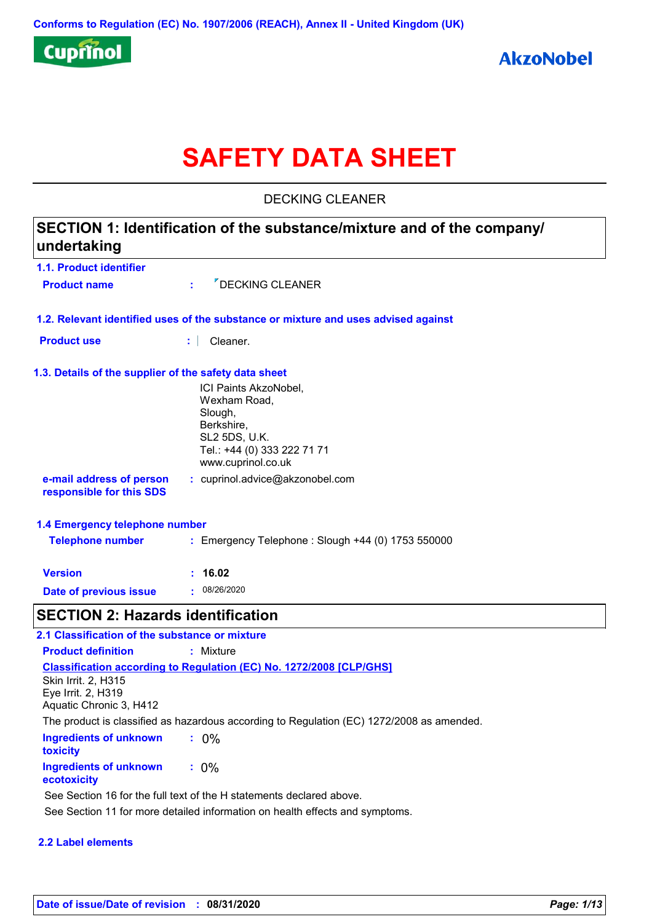

# **SAFETY DATA SHEET**

DECKING CLEANER

| 1.1. Product identifier                               |                                                                                    |
|-------------------------------------------------------|------------------------------------------------------------------------------------|
| <b>Product name</b>                                   | <b><i>P</i>DECKING CLEANER</b><br>$\mathcal{L}^{\mathcal{A}}$                      |
|                                                       | 1.2. Relevant identified uses of the substance or mixture and uses advised against |
| <b>Product use</b>                                    | Cleaner.<br>t.                                                                     |
| 1.3. Details of the supplier of the safety data sheet |                                                                                    |
|                                                       | ICI Paints AkzoNobel,                                                              |
|                                                       | Wexham Road,                                                                       |
|                                                       | Slough,<br>Berkshire,                                                              |
|                                                       | SL2 5DS, U.K.                                                                      |
|                                                       | Tel.: +44 (0) 333 222 71 71                                                        |
|                                                       | www.cuprinol.co.uk                                                                 |
| e-mail address of person<br>responsible for this SDS  | : cuprinol.advice@akzonobel.com                                                    |
| 1.4 Emergency telephone number                        |                                                                                    |
| <b>Telephone number</b>                               | : Emergency Telephone : Slough +44 (0) 1753 550000                                 |
| <b>Version</b>                                        | : 16.02                                                                            |
| <b>Date of previous issue</b>                         | : 08/26/2020                                                                       |

**Ingredients of unknown toxicity :** 0% **Ingredients of unknown ecotoxicity :** 0% **Classification according to Regulation (EC) No. 1272/2008 [CLP/GHS] Product definition :** Mixture Skin Irrit. 2, H315 Eye Irrit. 2, H319 Aquatic Chronic 3, H412 The product is classified as hazardous according to Regulation (EC) 1272/2008 as amended. See Section 16 for the full text of the H statements declared above.

See Section 11 for more detailed information on health effects and symptoms.

#### **2.2 Label elements**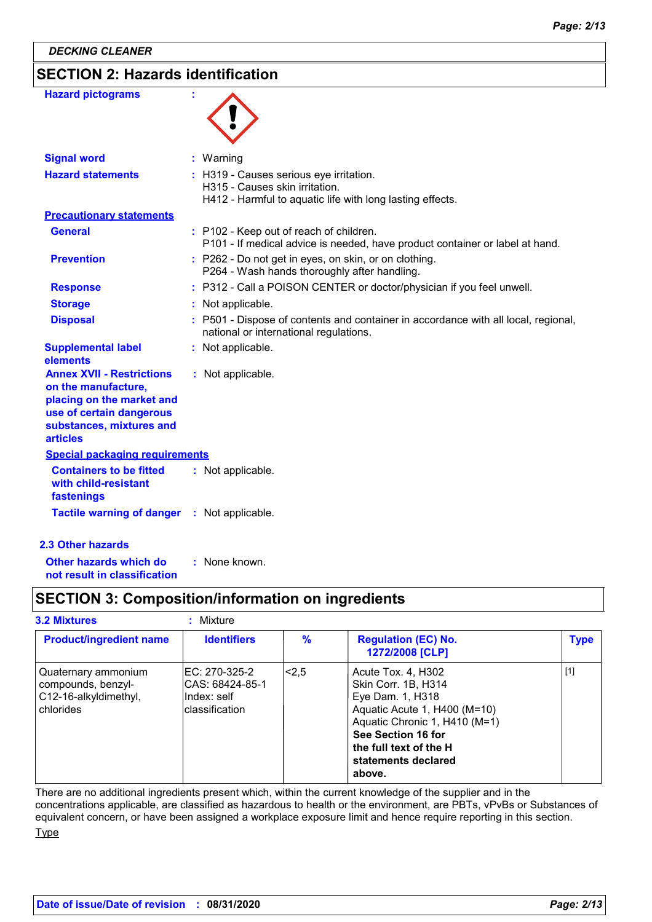*DECKING CLEANER*

## **SECTION 2: Hazards identification**

| <b>Hazard pictograms</b>                                                                                                                                 | ÷ |                                                                                                                                        |
|----------------------------------------------------------------------------------------------------------------------------------------------------------|---|----------------------------------------------------------------------------------------------------------------------------------------|
| <b>Signal word</b>                                                                                                                                       |   | : Warning                                                                                                                              |
| <b>Hazard statements</b>                                                                                                                                 |   | : H319 - Causes serious eye irritation.<br>H315 - Causes skin irritation.<br>H412 - Harmful to aquatic life with long lasting effects. |
| <b>Precautionary statements</b>                                                                                                                          |   |                                                                                                                                        |
| <b>General</b>                                                                                                                                           |   | : P102 - Keep out of reach of children.<br>P101 - If medical advice is needed, have product container or label at hand.                |
| <b>Prevention</b>                                                                                                                                        |   | : P262 - Do not get in eyes, on skin, or on clothing.<br>P264 - Wash hands thoroughly after handling.                                  |
| <b>Response</b>                                                                                                                                          |   | : P312 - Call a POISON CENTER or doctor/physician if you feel unwell.                                                                  |
| <b>Storage</b>                                                                                                                                           |   | : Not applicable.                                                                                                                      |
| <b>Disposal</b>                                                                                                                                          |   | : P501 - Dispose of contents and container in accordance with all local, regional,<br>national or international regulations.           |
| <b>Supplemental label</b><br>elements                                                                                                                    |   | : Not applicable.                                                                                                                      |
| <b>Annex XVII - Restrictions</b><br>on the manufacture,<br>placing on the market and<br>use of certain dangerous<br>substances, mixtures and<br>articles |   | : Not applicable.                                                                                                                      |
| <b>Special packaging requirements</b>                                                                                                                    |   |                                                                                                                                        |
| <b>Containers to be fitted</b><br>with child-resistant<br>fastenings                                                                                     |   | : Not applicable.                                                                                                                      |
| <b>Tactile warning of danger</b>                                                                                                                         |   | : Not applicable.                                                                                                                      |
| <b>2.3 Other hazards</b>                                                                                                                                 |   |                                                                                                                                        |

**Other hazards which do : not result in classification** : None known.

## **SECTION 3: Composition/information on ingredients**

| <b>3.2 Mixtures</b>                                                             | Mixture                                                            |       |                                                                                                                                                                                                                 |             |
|---------------------------------------------------------------------------------|--------------------------------------------------------------------|-------|-----------------------------------------------------------------------------------------------------------------------------------------------------------------------------------------------------------------|-------------|
| <b>Product/ingredient name</b>                                                  | <b>Identifiers</b>                                                 | $\%$  | <b>Regulation (EC) No.</b><br>1272/2008 [CLP]                                                                                                                                                                   | <b>Type</b> |
| Quaternary ammonium<br>compounds, benzyl-<br>C12-16-alkyldimethyl,<br>chlorides | IEC: 270-325-2<br>CAS: 68424-85-1<br>Index: self<br>classification | l<2.5 | Acute Tox. 4, H302<br>Skin Corr. 1B, H314<br>Eye Dam. 1, H318<br>Aquatic Acute 1, H400 (M=10)<br>Aquatic Chronic 1, H410 (M=1)<br>See Section 16 for<br>the full text of the H<br>statements declared<br>above. | $[1]$       |

There are no additional ingredients present which, within the current knowledge of the supplier and in the concentrations applicable, are classified as hazardous to health or the environment, are PBTs, vPvBs or Substances of equivalent concern, or have been assigned a workplace exposure limit and hence require reporting in this section.

**Type**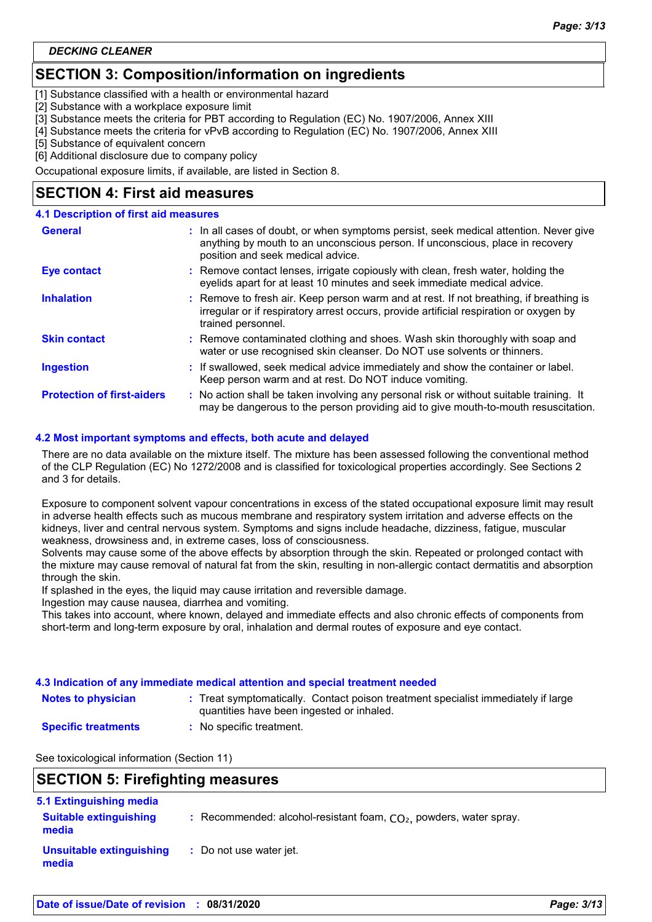## **SECTION 3: Composition/information on ingredients**

[1] Substance classified with a health or environmental hazard

[2] Substance with a workplace exposure limit

[3] Substance meets the criteria for PBT according to Regulation (EC) No. 1907/2006, Annex XIII

[4] Substance meets the criteria for vPvB according to Regulation (EC) No. 1907/2006, Annex XIII

[5] Substance of equivalent concern

[6] Additional disclosure due to company policy

Occupational exposure limits, if available, are listed in Section 8.

## **SECTION 4: First aid measures**

#### **4.1 Description of first aid measures**

| <b>General</b>                    | : In all cases of doubt, or when symptoms persist, seek medical attention. Never give<br>anything by mouth to an unconscious person. If unconscious, place in recovery<br>position and seek medical advice. |  |
|-----------------------------------|-------------------------------------------------------------------------------------------------------------------------------------------------------------------------------------------------------------|--|
| <b>Eye contact</b>                | : Remove contact lenses, irrigate copiously with clean, fresh water, holding the<br>eyelids apart for at least 10 minutes and seek immediate medical advice.                                                |  |
| <b>Inhalation</b>                 | : Remove to fresh air. Keep person warm and at rest. If not breathing, if breathing is<br>irregular or if respiratory arrest occurs, provide artificial respiration or oxygen by<br>trained personnel.      |  |
| <b>Skin contact</b>               | : Remove contaminated clothing and shoes. Wash skin thoroughly with soap and<br>water or use recognised skin cleanser. Do NOT use solvents or thinners.                                                     |  |
| <b>Ingestion</b>                  | : If swallowed, seek medical advice immediately and show the container or label.<br>Keep person warm and at rest. Do NOT induce vomiting.                                                                   |  |
| <b>Protection of first-aiders</b> | : No action shall be taken involving any personal risk or without suitable training. It<br>may be dangerous to the person providing aid to give mouth-to-mouth resuscitation.                               |  |

#### **4.2 Most important symptoms and effects, both acute and delayed**

There are no data available on the mixture itself. The mixture has been assessed following the conventional method of the CLP Regulation (EC) No 1272/2008 and is classified for toxicological properties accordingly. See Sections 2 and 3 for details.

Exposure to component solvent vapour concentrations in excess of the stated occupational exposure limit may result in adverse health effects such as mucous membrane and respiratory system irritation and adverse effects on the kidneys, liver and central nervous system. Symptoms and signs include headache, dizziness, fatigue, muscular weakness, drowsiness and, in extreme cases, loss of consciousness.

Solvents may cause some of the above effects by absorption through the skin. Repeated or prolonged contact with the mixture may cause removal of natural fat from the skin, resulting in non-allergic contact dermatitis and absorption through the skin.

If splashed in the eyes, the liquid may cause irritation and reversible damage.

Ingestion may cause nausea, diarrhea and vomiting.

This takes into account, where known, delayed and immediate effects and also chronic effects of components from short-term and long-term exposure by oral, inhalation and dermal routes of exposure and eye contact.

#### **4.3 Indication of any immediate medical attention and special treatment needed**

- **Notes to physician Treat symptomatically. Contact poison treatment specialist immediately if large :** quantities have been ingested or inhaled.
- **Specific treatments**
- **:** No specific treatment.

See toxicological information (Section 11)

## **SECTION 5: Firefighting measures**

| 5.1 Extinguishing media                |                                                                      |
|----------------------------------------|----------------------------------------------------------------------|
| <b>Suitable extinguishing</b><br>media | : Recommended: alcohol-resistant foam, $CO2$ , powders, water spray. |
| Unsuitable extinguishing<br>media      | : Do not use water jet.                                              |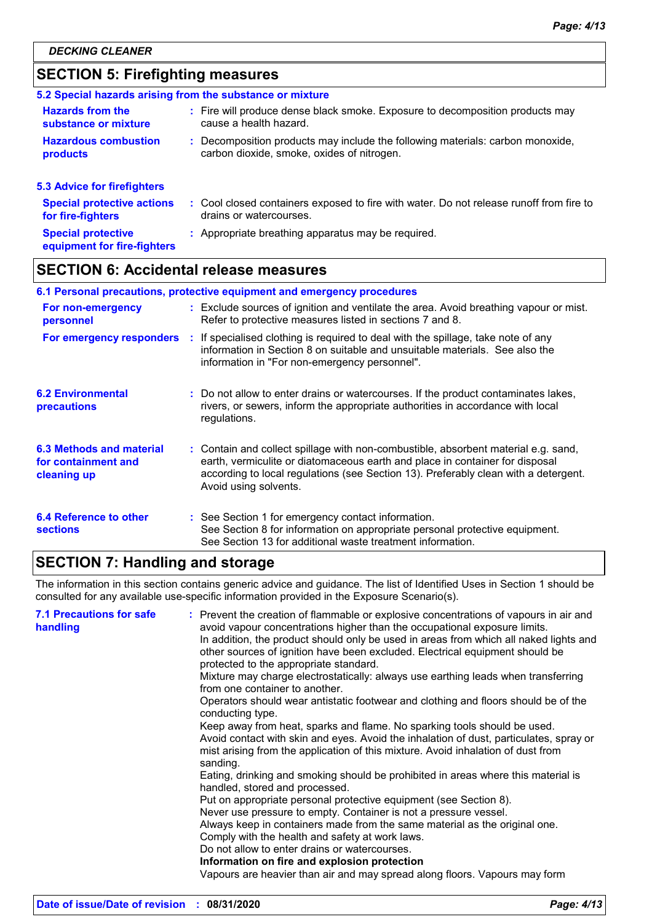## **SECTION 5: Firefighting measures**

|                                                          | 5.2 Special hazards arising from the substance or mixture                                                                    |
|----------------------------------------------------------|------------------------------------------------------------------------------------------------------------------------------|
| <b>Hazards from the</b><br>substance or mixture          | : Fire will produce dense black smoke. Exposure to decomposition products may<br>cause a health hazard.                      |
| <b>Hazardous combustion</b><br>products                  | : Decomposition products may include the following materials: carbon monoxide,<br>carbon dioxide, smoke, oxides of nitrogen. |
| <b>5.3 Advice for firefighters</b>                       |                                                                                                                              |
| <b>Special protective actions</b><br>for fire-fighters   | : Cool closed containers exposed to fire with water. Do not release runoff from fire to<br>drains or watercourses.           |
| <b>Special protective</b><br>equipment for fire-fighters | : Appropriate breathing apparatus may be required.                                                                           |

## **SECTION 6: Accidental release measures**

| 6.1 Personal precautions, protective equipment and emergency procedures |  |                                                                                                                                                                                                                                                                                    |  |  |
|-------------------------------------------------------------------------|--|------------------------------------------------------------------------------------------------------------------------------------------------------------------------------------------------------------------------------------------------------------------------------------|--|--|
| For non-emergency<br>personnel                                          |  | : Exclude sources of ignition and ventilate the area. Avoid breathing vapour or mist.<br>Refer to protective measures listed in sections 7 and 8.                                                                                                                                  |  |  |
|                                                                         |  | For emergency responders : If specialised clothing is required to deal with the spillage, take note of any<br>information in Section 8 on suitable and unsuitable materials. See also the<br>information in "For non-emergency personnel".                                         |  |  |
| <b>6.2 Environmental</b><br>precautions                                 |  | : Do not allow to enter drains or watercourses. If the product contaminates lakes,<br>rivers, or sewers, inform the appropriate authorities in accordance with local<br>regulations.                                                                                               |  |  |
| 6.3 Methods and material<br>for containment and<br>cleaning up          |  | : Contain and collect spillage with non-combustible, absorbent material e.g. sand,<br>earth, vermiculite or diatomaceous earth and place in container for disposal<br>according to local regulations (see Section 13). Preferably clean with a detergent.<br>Avoid using solvents. |  |  |
| 6.4 Reference to other<br><b>sections</b>                               |  | : See Section 1 for emergency contact information.<br>See Section 8 for information on appropriate personal protective equipment.<br>See Section 13 for additional waste treatment information.                                                                                    |  |  |

## **SECTION 7: Handling and storage**

The information in this section contains generic advice and guidance. The list of Identified Uses in Section 1 should be consulted for any available use-specific information provided in the Exposure Scenario(s).

| <b>7.1 Precautions for safe</b><br>handling | : Prevent the creation of flammable or explosive concentrations of vapours in air and<br>avoid vapour concentrations higher than the occupational exposure limits.<br>In addition, the product should only be used in areas from which all naked lights and<br>other sources of ignition have been excluded. Electrical equipment should be<br>protected to the appropriate standard.<br>Mixture may charge electrostatically: always use earthing leads when transferring<br>from one container to another.<br>Operators should wear antistatic footwear and clothing and floors should be of the<br>conducting type.<br>Keep away from heat, sparks and flame. No sparking tools should be used.<br>Avoid contact with skin and eyes. Avoid the inhalation of dust, particulates, spray or<br>mist arising from the application of this mixture. Avoid inhalation of dust from<br>sanding.<br>Eating, drinking and smoking should be prohibited in areas where this material is<br>handled, stored and processed.<br>Put on appropriate personal protective equipment (see Section 8).<br>Never use pressure to empty. Container is not a pressure vessel.<br>Always keep in containers made from the same material as the original one.<br>Comply with the health and safety at work laws.<br>Do not allow to enter drains or watercourses.<br>Information on fire and explosion protection<br>Vapours are heavier than air and may spread along floors. Vapours may form |
|---------------------------------------------|------------------------------------------------------------------------------------------------------------------------------------------------------------------------------------------------------------------------------------------------------------------------------------------------------------------------------------------------------------------------------------------------------------------------------------------------------------------------------------------------------------------------------------------------------------------------------------------------------------------------------------------------------------------------------------------------------------------------------------------------------------------------------------------------------------------------------------------------------------------------------------------------------------------------------------------------------------------------------------------------------------------------------------------------------------------------------------------------------------------------------------------------------------------------------------------------------------------------------------------------------------------------------------------------------------------------------------------------------------------------------------------------------------------------------------------------------------------------------|
|                                             |                                                                                                                                                                                                                                                                                                                                                                                                                                                                                                                                                                                                                                                                                                                                                                                                                                                                                                                                                                                                                                                                                                                                                                                                                                                                                                                                                                                                                                                                              |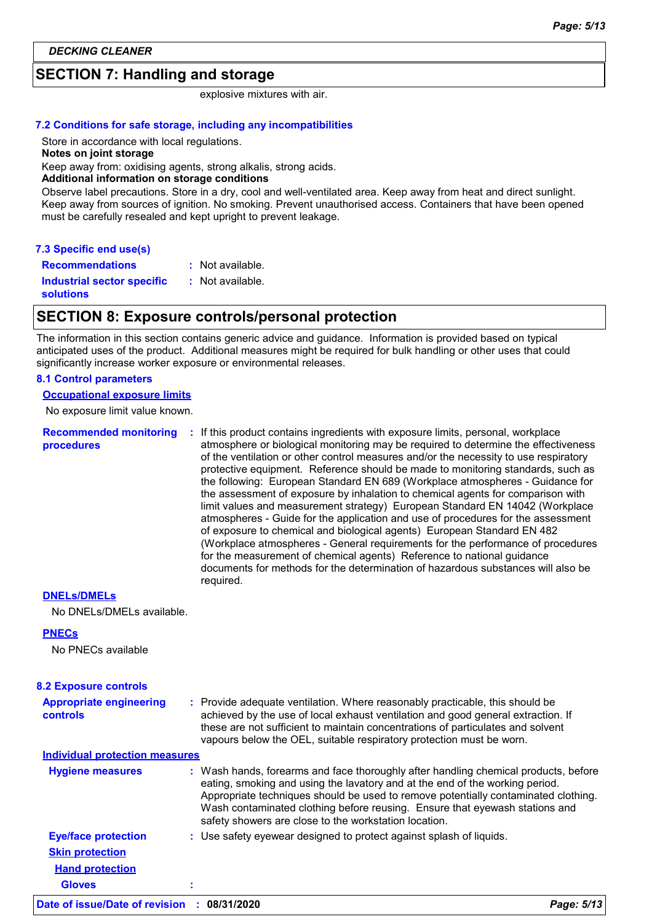## **SECTION 7: Handling and storage**

explosive mixtures with air.

#### **7.2 Conditions for safe storage, including any incompatibilities**

Store in accordance with local regulations.

#### **Notes on joint storage**

Keep away from: oxidising agents, strong alkalis, strong acids.

#### **Additional information on storage conditions**

Observe label precautions. Store in a dry, cool and well-ventilated area. Keep away from heat and direct sunlight. Keep away from sources of ignition. No smoking. Prevent unauthorised access. Containers that have been opened must be carefully resealed and kept upright to prevent leakage.

#### **7.3 Specific end use(s)**

**Recommendations :** : Not available.

**Industrial sector specific :**

: Not available.

**solutions**

#### **SECTION 8: Exposure controls/personal protection**

The information in this section contains generic advice and guidance. Information is provided based on typical anticipated uses of the product. Additional measures might be required for bulk handling or other uses that could significantly increase worker exposure or environmental releases.

#### **8.1 Control parameters**

#### **Occupational exposure limits**

No exposure limit value known.

| <b>Recommended monitoring</b><br>procedures | If this product contains ingredients with exposure limits, personal, workplace<br>atmosphere or biological monitoring may be required to determine the effectiveness<br>of the ventilation or other control measures and/or the necessity to use respiratory<br>protective equipment. Reference should be made to monitoring standards, such as<br>the following: European Standard EN 689 (Workplace atmospheres - Guidance for<br>the assessment of exposure by inhalation to chemical agents for comparison with<br>limit values and measurement strategy) European Standard EN 14042 (Workplace<br>atmospheres - Guide for the application and use of procedures for the assessment<br>of exposure to chemical and biological agents) European Standard EN 482<br>(Workplace atmospheres - General requirements for the performance of procedures<br>for the measurement of chemical agents) Reference to national guidance<br>documents for methods for the determination of hazardous substances will also be |
|---------------------------------------------|---------------------------------------------------------------------------------------------------------------------------------------------------------------------------------------------------------------------------------------------------------------------------------------------------------------------------------------------------------------------------------------------------------------------------------------------------------------------------------------------------------------------------------------------------------------------------------------------------------------------------------------------------------------------------------------------------------------------------------------------------------------------------------------------------------------------------------------------------------------------------------------------------------------------------------------------------------------------------------------------------------------------|
|                                             | required.                                                                                                                                                                                                                                                                                                                                                                                                                                                                                                                                                                                                                                                                                                                                                                                                                                                                                                                                                                                                           |

#### **DNELs/DMELs**

No DNELs/DMELs available.

#### **PNECs**

No PNECs available

| <b>8.2 Exposure controls</b>                      |                                                                                                                                                                                                                                                                                                                                                                                                   |            |
|---------------------------------------------------|---------------------------------------------------------------------------------------------------------------------------------------------------------------------------------------------------------------------------------------------------------------------------------------------------------------------------------------------------------------------------------------------------|------------|
| <b>Appropriate engineering</b><br><b>controls</b> | : Provide adequate ventilation. Where reasonably practicable, this should be<br>achieved by the use of local exhaust ventilation and good general extraction. If<br>these are not sufficient to maintain concentrations of particulates and solvent<br>vapours below the OEL, suitable respiratory protection must be worn.                                                                       |            |
| <b>Individual protection measures</b>             |                                                                                                                                                                                                                                                                                                                                                                                                   |            |
| <b>Hygiene measures</b>                           | : Wash hands, forearms and face thoroughly after handling chemical products, before<br>eating, smoking and using the lavatory and at the end of the working period.<br>Appropriate techniques should be used to remove potentially contaminated clothing.<br>Wash contaminated clothing before reusing. Ensure that eyewash stations and<br>safety showers are close to the workstation location. |            |
| <b>Eye/face protection</b>                        | : Use safety eyewear designed to protect against splash of liquids.                                                                                                                                                                                                                                                                                                                               |            |
| <b>Skin protection</b>                            |                                                                                                                                                                                                                                                                                                                                                                                                   |            |
| <b>Hand protection</b>                            |                                                                                                                                                                                                                                                                                                                                                                                                   |            |
| <b>Gloves</b>                                     |                                                                                                                                                                                                                                                                                                                                                                                                   |            |
| Date of issue/Date of revision : 08/31/2020       |                                                                                                                                                                                                                                                                                                                                                                                                   | Page: 5/13 |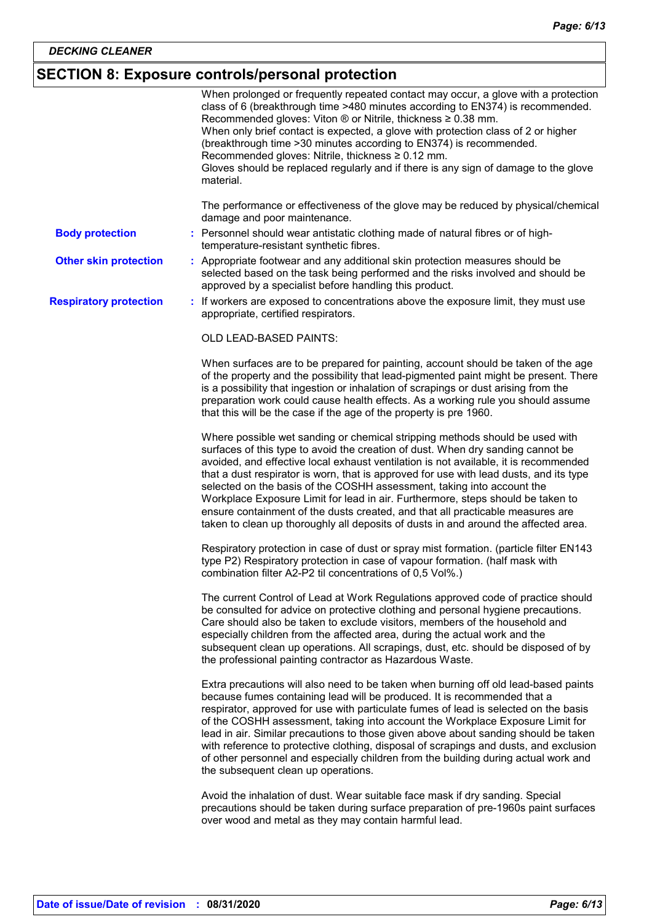## **SECTION 8: Exposure controls/personal protection**

|                               | When prolonged or frequently repeated contact may occur, a glove with a protection<br>class of 6 (breakthrough time >480 minutes according to EN374) is recommended.<br>Recommended gloves: Viton $\circledR$ or Nitrile, thickness $\geq 0.38$ mm.<br>When only brief contact is expected, a glove with protection class of 2 or higher<br>(breakthrough time > 30 minutes according to EN374) is recommended.<br>Recommended gloves: Nitrile, thickness ≥ 0.12 mm.<br>Gloves should be replaced regularly and if there is any sign of damage to the glove<br>material.                                                                                                                |
|-------------------------------|-----------------------------------------------------------------------------------------------------------------------------------------------------------------------------------------------------------------------------------------------------------------------------------------------------------------------------------------------------------------------------------------------------------------------------------------------------------------------------------------------------------------------------------------------------------------------------------------------------------------------------------------------------------------------------------------|
|                               | The performance or effectiveness of the glove may be reduced by physical/chemical<br>damage and poor maintenance.                                                                                                                                                                                                                                                                                                                                                                                                                                                                                                                                                                       |
| <b>Body protection</b>        | : Personnel should wear antistatic clothing made of natural fibres or of high-<br>temperature-resistant synthetic fibres.                                                                                                                                                                                                                                                                                                                                                                                                                                                                                                                                                               |
| <b>Other skin protection</b>  | : Appropriate footwear and any additional skin protection measures should be<br>selected based on the task being performed and the risks involved and should be<br>approved by a specialist before handling this product.                                                                                                                                                                                                                                                                                                                                                                                                                                                               |
| <b>Respiratory protection</b> | : If workers are exposed to concentrations above the exposure limit, they must use<br>appropriate, certified respirators.                                                                                                                                                                                                                                                                                                                                                                                                                                                                                                                                                               |
|                               | OLD LEAD-BASED PAINTS:                                                                                                                                                                                                                                                                                                                                                                                                                                                                                                                                                                                                                                                                  |
|                               | When surfaces are to be prepared for painting, account should be taken of the age<br>of the property and the possibility that lead-pigmented paint might be present. There<br>is a possibility that ingestion or inhalation of scrapings or dust arising from the<br>preparation work could cause health effects. As a working rule you should assume<br>that this will be the case if the age of the property is pre 1960.                                                                                                                                                                                                                                                             |
|                               | Where possible wet sanding or chemical stripping methods should be used with<br>surfaces of this type to avoid the creation of dust. When dry sanding cannot be<br>avoided, and effective local exhaust ventilation is not available, it is recommended<br>that a dust respirator is worn, that is approved for use with lead dusts, and its type<br>selected on the basis of the COSHH assessment, taking into account the<br>Workplace Exposure Limit for lead in air. Furthermore, steps should be taken to<br>ensure containment of the dusts created, and that all practicable measures are<br>taken to clean up thoroughly all deposits of dusts in and around the affected area. |
|                               | Respiratory protection in case of dust or spray mist formation. (particle filter EN143<br>type P2) Respiratory protection in case of vapour formation. (half mask with<br>combination filter A2-P2 til concentrations of 0,5 Vol%.)                                                                                                                                                                                                                                                                                                                                                                                                                                                     |
|                               | The current Control of Lead at Work Regulations approved code of practice should<br>be consulted for advice on protective clothing and personal hygiene precautions.<br>Care should also be taken to exclude visitors, members of the household and<br>especially children from the affected area, during the actual work and the<br>subsequent clean up operations. All scrapings, dust, etc. should be disposed of by<br>the professional painting contractor as Hazardous Waste.                                                                                                                                                                                                     |
|                               | Extra precautions will also need to be taken when burning off old lead-based paints<br>because fumes containing lead will be produced. It is recommended that a<br>respirator, approved for use with particulate fumes of lead is selected on the basis<br>of the COSHH assessment, taking into account the Workplace Exposure Limit for<br>lead in air. Similar precautions to those given above about sanding should be taken<br>with reference to protective clothing, disposal of scrapings and dusts, and exclusion<br>of other personnel and especially children from the building during actual work and<br>the subsequent clean up operations.                                  |
|                               | Avoid the inhalation of dust. Wear suitable face mask if dry sanding. Special<br>precautions should be taken during surface preparation of pre-1960s paint surfaces<br>over wood and metal as they may contain harmful lead.                                                                                                                                                                                                                                                                                                                                                                                                                                                            |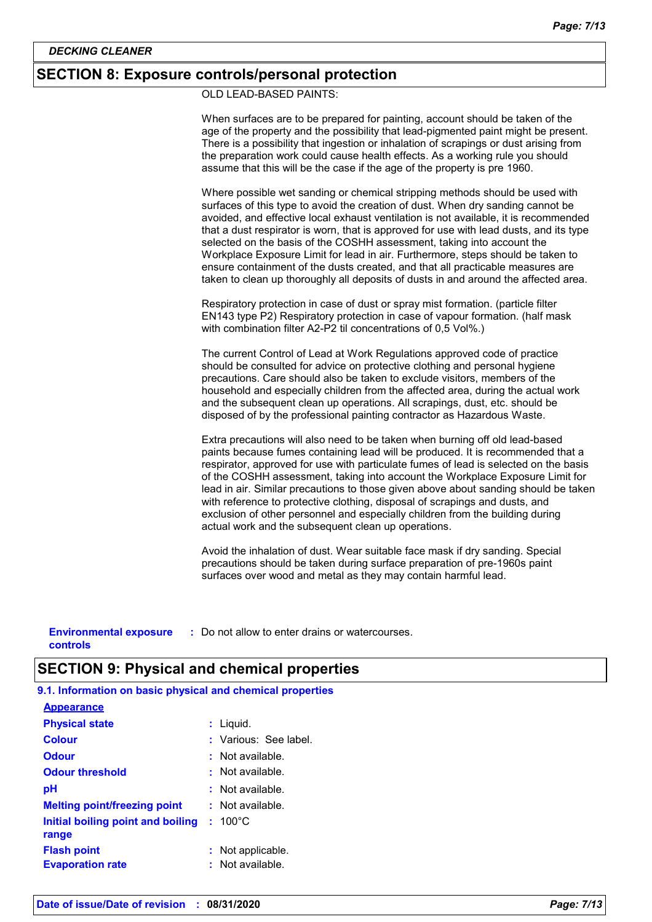#### **SECTION 8: Exposure controls/personal protection**

OLD LEAD-BASED PAINTS:

When surfaces are to be prepared for painting, account should be taken of the age of the property and the possibility that lead-pigmented paint might be present. There is a possibility that ingestion or inhalation of scrapings or dust arising from the preparation work could cause health effects. As a working rule you should assume that this will be the case if the age of the property is pre 1960. Where possible wet sanding or chemical stripping methods should be used with surfaces of this type to avoid the creation of dust. When dry sanding cannot be avoided, and effective local exhaust ventilation is not available, it is recommended that a dust respirator is worn, that is approved for use with lead dusts, and its type selected on the basis of the COSHH assessment, taking into account the Workplace Exposure Limit for lead in air. Furthermore, steps should be taken to ensure containment of the dusts created, and that all practicable measures are taken to clean up thoroughly all deposits of dusts in and around the affected area. Respiratory protection in case of dust or spray mist formation. (particle filter EN143 type P2) Respiratory protection in case of vapour formation. (half mask with combination filter A2-P2 til concentrations of 0,5 Vol%.) The current Control of Lead at Work Regulations approved code of practice should be consulted for advice on protective clothing and personal hygiene precautions. Care should also be taken to exclude visitors, members of the household and especially children from the affected area, during the actual work and the subsequent clean up operations. All scrapings, dust, etc. should be disposed of by the professional painting contractor as Hazardous Waste. Extra precautions will also need to be taken when burning off old lead-based paints because fumes containing lead will be produced. It is recommended that a respirator, approved for use with particulate fumes of lead is selected on the basis of the COSHH assessment, taking into account the Workplace Exposure Limit for lead in air. Similar precautions to those given above about sanding should be taken with reference to protective clothing, disposal of scrapings and dusts, and exclusion of other personnel and especially children from the building during actual work and the subsequent clean up operations. Avoid the inhalation of dust. Wear suitable face mask if dry sanding. Special precautions should be taken during surface preparation of pre-1960s paint surfaces over wood and metal as they may contain harmful lead.

**Environmental exposure : Do not allow to enter drains or watercourses. controls**

### **SECTION 9: Physical and chemical properties**

**9.1. Information on basic physical and chemical properties**

| <b>Appearance</b>                             |                                       |
|-----------------------------------------------|---------------------------------------|
| <b>Physical state</b>                         | : Liquid.                             |
| <b>Colour</b>                                 | : Various: See label.                 |
| <b>Odour</b>                                  | : Not available.                      |
| <b>Odour threshold</b>                        | $\cdot$ Not available.                |
| рH                                            | : Not available.                      |
| <b>Melting point/freezing point</b>           | $:$ Not available.                    |
| Initial boiling point and boiling<br>range    | $: 100^{\circ}$ C                     |
| <b>Flash point</b><br><b>Evaporation rate</b> | : Not applicable.<br>: Not available. |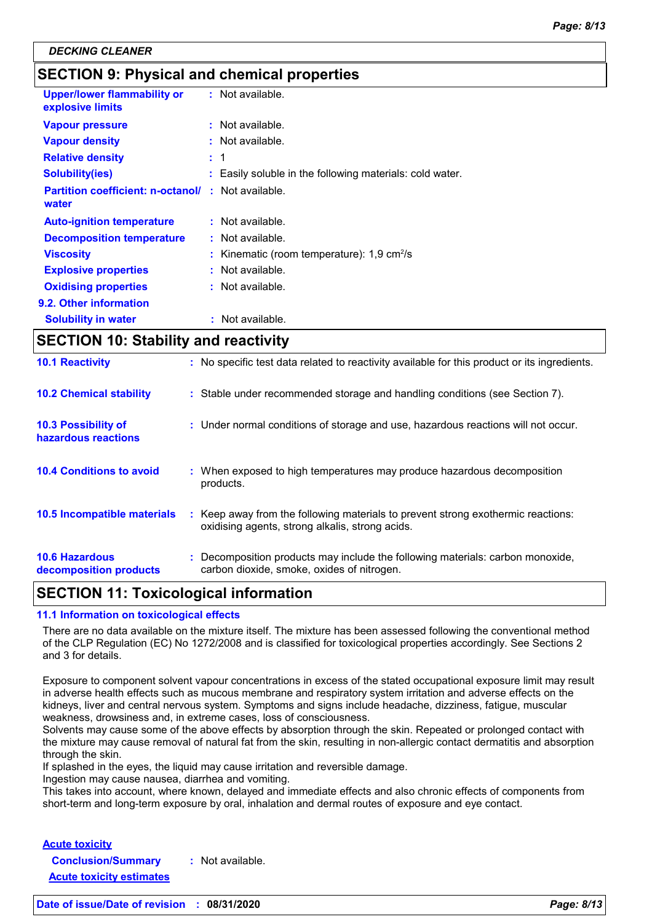## **SECTION 9: Physical and chemical properties**

| <b>Upper/lower flammability or</b><br>explosive limits | $:$ Not available.                                       |  |
|--------------------------------------------------------|----------------------------------------------------------|--|
| <b>Vapour pressure</b>                                 | $:$ Not available.                                       |  |
| <b>Vapour density</b>                                  | $:$ Not available.                                       |  |
| <b>Relative density</b>                                | : 1                                                      |  |
| <b>Solubility(ies)</b>                                 | : Easily soluble in the following materials: cold water. |  |
| <b>Partition coefficient: n-octanol/</b><br>water      | $:$ Not available.                                       |  |
| <b>Auto-ignition temperature</b>                       | $:$ Not available.                                       |  |
| <b>Decomposition temperature</b>                       | $:$ Not available.                                       |  |
| <b>Viscosity</b>                                       | Kinematic (room temperature): 1,9 cm <sup>2</sup> /s     |  |
| <b>Explosive properties</b>                            | $:$ Not available.                                       |  |
| <b>Oxidising properties</b>                            | : Not available.                                         |  |
| 9.2. Other information                                 |                                                          |  |
| <b>Solubility in water</b>                             | Not available.                                           |  |

## **SECTION 10: Stability and reactivity**

| <b>10.6 Hazardous</b><br>decomposition products   | : Decomposition products may include the following materials: carbon monoxide,<br>carbon dioxide, smoke, oxides of nitrogen.        |
|---------------------------------------------------|-------------------------------------------------------------------------------------------------------------------------------------|
| 10.5 Incompatible materials                       | : Keep away from the following materials to prevent strong exothermic reactions:<br>oxidising agents, strong alkalis, strong acids. |
| <b>10.4 Conditions to avoid</b>                   | : When exposed to high temperatures may produce hazardous decomposition<br>products.                                                |
| <b>10.3 Possibility of</b><br>hazardous reactions | : Under normal conditions of storage and use, hazardous reactions will not occur.                                                   |
| <b>10.2 Chemical stability</b>                    | : Stable under recommended storage and handling conditions (see Section 7).                                                         |
| <b>10.1 Reactivity</b>                            | : No specific test data related to reactivity available for this product or its ingredients.                                        |

### **SECTION 11: Toxicological information**

#### **11.1 Information on toxicological effects**

There are no data available on the mixture itself. The mixture has been assessed following the conventional method of the CLP Regulation (EC) No 1272/2008 and is classified for toxicological properties accordingly. See Sections 2 and 3 for details.

Exposure to component solvent vapour concentrations in excess of the stated occupational exposure limit may result in adverse health effects such as mucous membrane and respiratory system irritation and adverse effects on the kidneys, liver and central nervous system. Symptoms and signs include headache, dizziness, fatigue, muscular weakness, drowsiness and, in extreme cases, loss of consciousness.

Solvents may cause some of the above effects by absorption through the skin. Repeated or prolonged contact with the mixture may cause removal of natural fat from the skin, resulting in non-allergic contact dermatitis and absorption through the skin.

If splashed in the eyes, the liquid may cause irritation and reversible damage.

Ingestion may cause nausea, diarrhea and vomiting.

This takes into account, where known, delayed and immediate effects and also chronic effects of components from short-term and long-term exposure by oral, inhalation and dermal routes of exposure and eye contact.

**Acute toxicity Conclusion/Summary :** Not available. **Acute toxicity estimates**

**Date of issue/Date of revision : 08/31/2020** *Page: 8/13*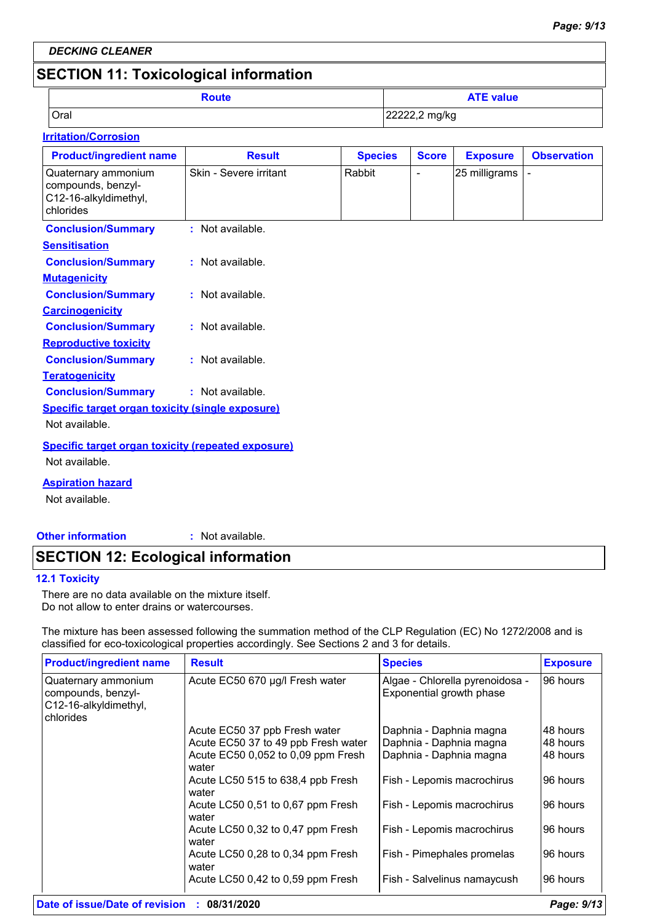*DECKING CLEANER*

## **SECTION 11: Toxicological information**

|      | Route | <b>ATE value</b> |
|------|-------|------------------|
| Oral |       | 22222,2 mg/kg    |

#### **Irritation/Corrosion**

| <b>Product/ingredient name</b>                                                  | <b>Result</b>          | <b>Species</b> | <b>Score</b>             | <b>Exposure</b> | <b>Observation</b> |
|---------------------------------------------------------------------------------|------------------------|----------------|--------------------------|-----------------|--------------------|
| Quaternary ammonium<br>compounds, benzyl-<br>C12-16-alkyldimethyl,<br>chlorides | Skin - Severe irritant | Rabbit         | $\overline{\phantom{a}}$ | 25 milligrams   |                    |
| <b>Conclusion/Summary</b>                                                       | : Not available.       |                |                          |                 |                    |
| <b>Sensitisation</b>                                                            |                        |                |                          |                 |                    |
| <b>Conclusion/Summary</b>                                                       | : Not available.       |                |                          |                 |                    |
| <b>Mutagenicity</b>                                                             |                        |                |                          |                 |                    |
| <b>Conclusion/Summary</b>                                                       | : Not available.       |                |                          |                 |                    |
| <b>Carcinogenicity</b>                                                          |                        |                |                          |                 |                    |
| <b>Conclusion/Summary</b>                                                       | : Not available.       |                |                          |                 |                    |
| <b>Reproductive toxicity</b>                                                    |                        |                |                          |                 |                    |
| <b>Conclusion/Summary</b>                                                       | : Not available.       |                |                          |                 |                    |
| <b>Teratogenicity</b>                                                           |                        |                |                          |                 |                    |
| <b>Conclusion/Summary</b>                                                       | : Not available.       |                |                          |                 |                    |
| <b>Specific target organ toxicity (single exposure)</b>                         |                        |                |                          |                 |                    |
| Not available.                                                                  |                        |                |                          |                 |                    |
| <b>Specific target organ toxicity (repeated exposure)</b>                       |                        |                |                          |                 |                    |
| Not available.                                                                  |                        |                |                          |                 |                    |
| <b>Aspiration hazard</b>                                                        |                        |                |                          |                 |                    |
| Not available.                                                                  |                        |                |                          |                 |                    |

**Other information :**

: Not available.

## **SECTION 12: Ecological information**

#### **12.1 Toxicity**

There are no data available on the mixture itself. Do not allow to enter drains or watercourses.

The mixture has been assessed following the summation method of the CLP Regulation (EC) No 1272/2008 and is classified for eco-toxicological properties accordingly. See Sections 2 and 3 for details.

| <b>Product/ingredient name</b>                                                  | <b>Result</b>                               | <b>Species</b>                                              | <b>Exposure</b> |
|---------------------------------------------------------------------------------|---------------------------------------------|-------------------------------------------------------------|-----------------|
| Quaternary ammonium<br>compounds, benzyl-<br>C12-16-alkyldimethyl,<br>chlorides | Acute EC50 670 µg/l Fresh water             | Algae - Chlorella pyrenoidosa -<br>Exponential growth phase | 96 hours        |
|                                                                                 | Acute EC50 37 ppb Fresh water               | Daphnia - Daphnia magna                                     | 48 hours        |
|                                                                                 | Acute EC50 37 to 49 ppb Fresh water         | Daphnia - Daphnia magna                                     | 48 hours        |
|                                                                                 | Acute EC50 0,052 to 0,09 ppm Fresh<br>water | Daphnia - Daphnia magna                                     | 48 hours        |
|                                                                                 | Acute LC50 515 to 638,4 ppb Fresh<br>water  | Fish - Lepomis macrochirus                                  | 96 hours        |
|                                                                                 | Acute LC50 0,51 to 0,67 ppm Fresh<br>water  | Fish - Lepomis macrochirus                                  | 96 hours        |
|                                                                                 | Acute LC50 0,32 to 0,47 ppm Fresh<br>water  | Fish - Lepomis macrochirus                                  | 96 hours        |
|                                                                                 | Acute LC50 0,28 to 0,34 ppm Fresh<br>water  | Fish - Pimephales promelas                                  | 96 hours        |
|                                                                                 | Acute LC50 0,42 to 0,59 ppm Fresh           | Fish - Salvelinus namaycush                                 | 96 hours        |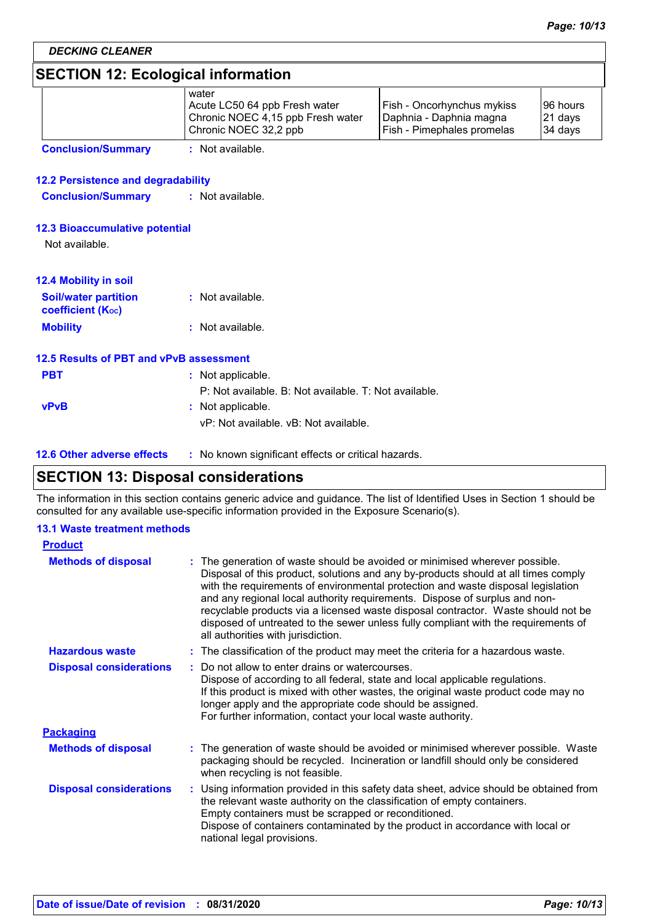## **SECTION 12: Ecological information**

| <b>SECTION IZ. ECOLOGICAL INTOHILATION</b>              |                                                                                                      |                                                                                     |                                |
|---------------------------------------------------------|------------------------------------------------------------------------------------------------------|-------------------------------------------------------------------------------------|--------------------------------|
|                                                         | water<br>Acute LC50 64 ppb Fresh water<br>Chronic NOEC 4,15 ppb Fresh water<br>Chronic NOEC 32,2 ppb | Fish - Oncorhynchus mykiss<br>Daphnia - Daphnia magna<br>Fish - Pimephales promelas | 96 hours<br>21 days<br>34 days |
| <b>Conclusion/Summary</b>                               | : Not available.                                                                                     |                                                                                     |                                |
| <b>12.2 Persistence and degradability</b>               |                                                                                                      |                                                                                     |                                |
| <b>Conclusion/Summary</b>                               | $:$ Not available.                                                                                   |                                                                                     |                                |
| <b>12.3 Bioaccumulative potential</b><br>Not available. |                                                                                                      |                                                                                     |                                |
| <b>12.4 Mobility in soil</b>                            |                                                                                                      |                                                                                     |                                |
| <b>Soil/water partition</b><br><b>coefficient (Koc)</b> | $:$ Not available.                                                                                   |                                                                                     |                                |
| <b>Mobility</b>                                         | : Not available.                                                                                     |                                                                                     |                                |
| 12.5 Results of PBT and vPvB assessment                 |                                                                                                      |                                                                                     |                                |
| <b>PBT</b>                                              | : Not applicable.                                                                                    |                                                                                     |                                |
|                                                         | P: Not available, B: Not available, T: Not available,                                                |                                                                                     |                                |
| <b>vPvB</b>                                             | : Not applicable.<br>vP: Not available, vB: Not available.                                           |                                                                                     |                                |
| <b>12.6 Other adverse effects</b>                       | : No known significant effects or critical hazards.                                                  |                                                                                     |                                |

### **SECTION 13: Disposal considerations**

The information in this section contains generic advice and guidance. The list of Identified Uses in Section 1 should be consulted for any available use-specific information provided in the Exposure Scenario(s).

#### **13.1 Waste treatment methods**

| <b>Product</b>                 |                                                                                                                                                                                                                                                                                                                                                                                                                                                                                                                                                      |
|--------------------------------|------------------------------------------------------------------------------------------------------------------------------------------------------------------------------------------------------------------------------------------------------------------------------------------------------------------------------------------------------------------------------------------------------------------------------------------------------------------------------------------------------------------------------------------------------|
| <b>Methods of disposal</b>     | : The generation of waste should be avoided or minimised wherever possible.<br>Disposal of this product, solutions and any by-products should at all times comply<br>with the requirements of environmental protection and waste disposal legislation<br>and any regional local authority requirements. Dispose of surplus and non-<br>recyclable products via a licensed waste disposal contractor. Waste should not be<br>disposed of untreated to the sewer unless fully compliant with the requirements of<br>all authorities with jurisdiction. |
| <b>Hazardous waste</b>         | : The classification of the product may meet the criteria for a hazardous waste.                                                                                                                                                                                                                                                                                                                                                                                                                                                                     |
| <b>Disposal considerations</b> | Do not allow to enter drains or watercourses.<br>÷.<br>Dispose of according to all federal, state and local applicable regulations.<br>If this product is mixed with other wastes, the original waste product code may no<br>longer apply and the appropriate code should be assigned.<br>For further information, contact your local waste authority.                                                                                                                                                                                               |
| <b>Packaging</b>               |                                                                                                                                                                                                                                                                                                                                                                                                                                                                                                                                                      |
| <b>Methods of disposal</b>     | : The generation of waste should be avoided or minimised wherever possible. Waste<br>packaging should be recycled. Incineration or landfill should only be considered<br>when recycling is not feasible.                                                                                                                                                                                                                                                                                                                                             |
| <b>Disposal considerations</b> | : Using information provided in this safety data sheet, advice should be obtained from<br>the relevant waste authority on the classification of empty containers.<br>Empty containers must be scrapped or reconditioned.<br>Dispose of containers contaminated by the product in accordance with local or<br>national legal provisions.                                                                                                                                                                                                              |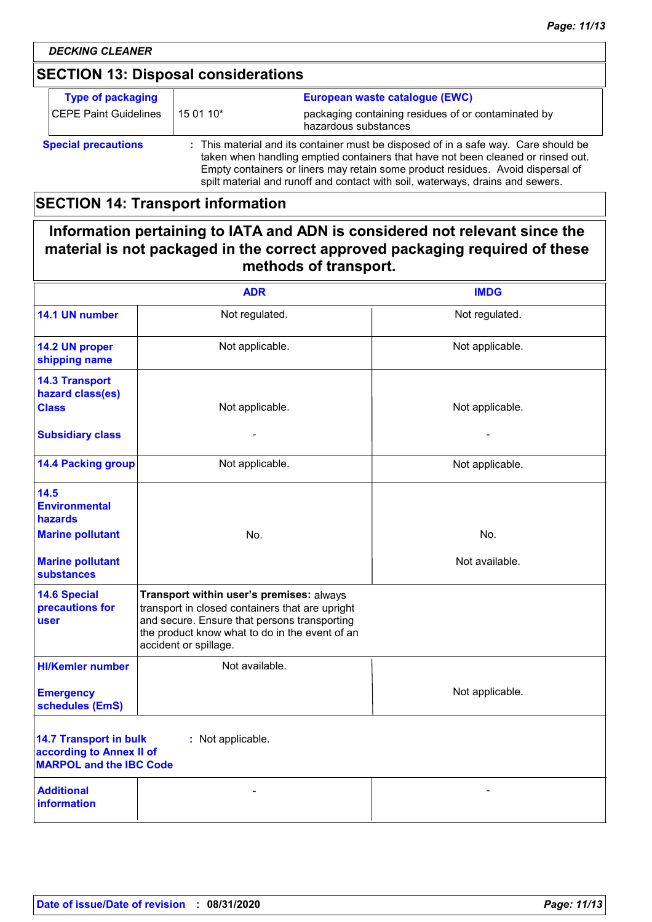## **SECTION 13: Disposal considerations**

| <b>Type of packaging</b>     |                                                                                                                                                                                                                                                                                                                                              | European waste catalogue (EWC)                                              |
|------------------------------|----------------------------------------------------------------------------------------------------------------------------------------------------------------------------------------------------------------------------------------------------------------------------------------------------------------------------------------------|-----------------------------------------------------------------------------|
| <b>CEPE Paint Guidelines</b> | 15 01 10*                                                                                                                                                                                                                                                                                                                                    | packaging containing residues of or contaminated by<br>hazardous substances |
| <b>Special precautions</b>   | : This material and its container must be disposed of in a safe way. Care should be<br>taken when handling emptied containers that have not been cleaned or rinsed out.<br>Empty containers or liners may retain some product residues. Avoid dispersal of<br>spilt material and runoff and contact with soil, waterways, drains and sewers. |                                                                             |

## **SECTION 14: Transport information**

## **Information pertaining to IATA and ADN is considered not relevant since the material is not packaged in the correct approved packaging required of these methods of transport.**

|                                                                                             | <b>ADR</b>                                                                                                                                                                                                             | <b>IMDG</b>     |
|---------------------------------------------------------------------------------------------|------------------------------------------------------------------------------------------------------------------------------------------------------------------------------------------------------------------------|-----------------|
| 14.1 UN number                                                                              | Not regulated.                                                                                                                                                                                                         | Not regulated.  |
| 14.2 UN proper<br>shipping name                                                             | Not applicable.                                                                                                                                                                                                        | Not applicable. |
| <b>14.3 Transport</b><br>hazard class(es)<br><b>Class</b>                                   | Not applicable.                                                                                                                                                                                                        | Not applicable. |
| <b>Subsidiary class</b>                                                                     |                                                                                                                                                                                                                        |                 |
| <b>14.4 Packing group</b>                                                                   | Not applicable.                                                                                                                                                                                                        | Not applicable. |
| 14.5<br><b>Environmental</b><br><b>hazards</b><br><b>Marine pollutant</b>                   | No.                                                                                                                                                                                                                    | No.             |
| <b>Marine pollutant</b><br><b>substances</b>                                                |                                                                                                                                                                                                                        | Not available.  |
| <b>14.6 Special</b><br>precautions for<br>user                                              | Transport within user's premises: always<br>transport in closed containers that are upright<br>and secure. Ensure that persons transporting<br>the product know what to do in the event of an<br>accident or spillage. |                 |
| <b>HI/Kemler number</b>                                                                     | Not available.                                                                                                                                                                                                         |                 |
| <b>Emergency</b><br>schedules (EmS)                                                         |                                                                                                                                                                                                                        | Not applicable. |
| <b>14.7 Transport in bulk</b><br>according to Annex II of<br><b>MARPOL and the IBC Code</b> | : Not applicable.                                                                                                                                                                                                      |                 |
| <b>Additional</b><br><b>information</b>                                                     |                                                                                                                                                                                                                        |                 |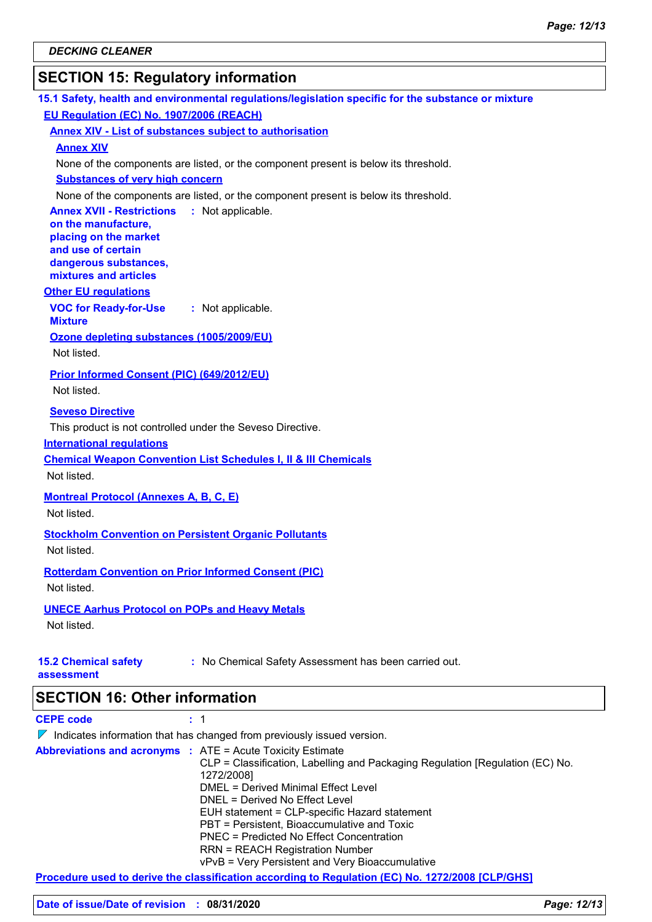## **SECTION 15: Regulatory information**

| 15.1 Safety, health and environmental regulations/legislation specific for the substance or mixture |
|-----------------------------------------------------------------------------------------------------|
| EU Regulation (EC) No. 1907/2006 (REACH)                                                            |
| <b>Annex XIV - List of substances subject to authorisation</b>                                      |
| <b>Annex XIV</b>                                                                                    |
| None of the components are listed, or the component present is below its threshold.                 |
| <b>Substances of very high concern</b>                                                              |
| None of the components are listed, or the component present is below its threshold.                 |
| <b>Annex XVII - Restrictions</b><br>: Not applicable.                                               |
| on the manufacture,                                                                                 |
| placing on the market<br>and use of certain                                                         |
| dangerous substances,                                                                               |
| mixtures and articles                                                                               |
| <b>Other EU regulations</b>                                                                         |
| <b>VOC for Ready-for-Use</b><br>: Not applicable.                                                   |
| <b>Mixture</b>                                                                                      |
| Ozone depleting substances (1005/2009/EU)                                                           |
| Not listed.                                                                                         |
| Prior Informed Consent (PIC) (649/2012/EU)                                                          |
| Not listed.                                                                                         |
| <b>Seveso Directive</b>                                                                             |
| This product is not controlled under the Seveso Directive.                                          |
| <b>International requlations</b>                                                                    |
| <b>Chemical Weapon Convention List Schedules I, II &amp; III Chemicals</b>                          |
| Not listed.                                                                                         |
| <b>Montreal Protocol (Annexes A, B, C, E)</b>                                                       |
| Not listed.                                                                                         |
|                                                                                                     |
| <b>Stockholm Convention on Persistent Organic Pollutants</b>                                        |
| Not listed.                                                                                         |
| <b>Rotterdam Convention on Prior Informed Consent (PIC)</b>                                         |
| Not listed.                                                                                         |
| <b>UNECE Aarhus Protocol on POPs and Heavy Metals</b>                                               |
| Not listed.                                                                                         |
|                                                                                                     |
| <b>15.2 Chemical safety</b><br>: No Chemical Safety Assessment has been carried out.                |
| assessment                                                                                          |
|                                                                                                     |
| <b>SECTION 16: Other information</b>                                                                |
| <b>CEPE code</b><br>: 1                                                                             |
| $\nabla$ Indicates information that has changed from previously issued version.                     |
| <b>Abbreviations and acronyms : ATE = Acute Toxicity Estimate</b>                                   |

**Procedure used to derive the classification according to Regulation (EC) No. 1272/2008 [CLP/GHS]**